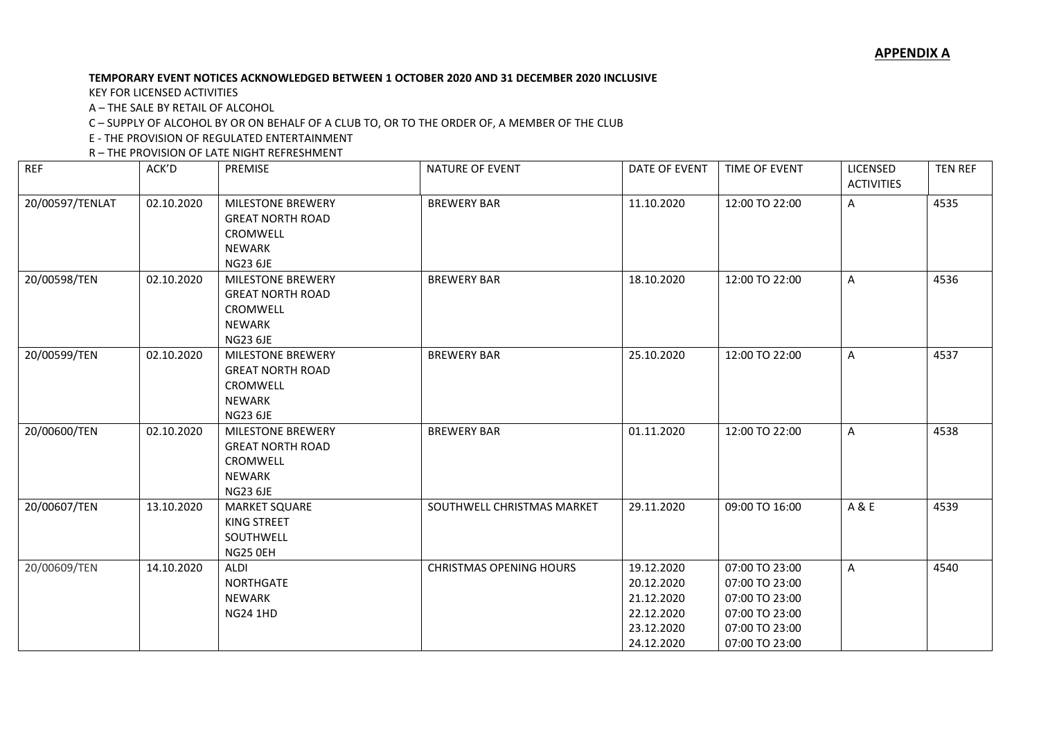## **TEMPORARY EVENT NOTICES ACKNOWLEDGED BETWEEN 1 OCTOBER 2020 AND 31 DECEMBER 2020 INCLUSIVE**

KEY FOR LICENSED ACTIVITIES

A – THE SALE BY RETAIL OF ALCOHOL

C – SUPPLY OF ALCOHOL BY OR ON BEHALF OF A CLUB TO, OR TO THE ORDER OF, A MEMBER OF THE CLUB

E - THE PROVISION OF REGULATED ENTERTAINMENT

R – THE PROVISION OF LATE NIGHT REFRESHMENT

| <b>REF</b>      | ACK'D      | PREMISE                                                                                             | NATURE OF EVENT                | DATE OF EVENT                                                                    | TIME OF EVENT                                                                                            | LICENSED<br><b>ACTIVITIES</b> | <b>TEN REF</b> |
|-----------------|------------|-----------------------------------------------------------------------------------------------------|--------------------------------|----------------------------------------------------------------------------------|----------------------------------------------------------------------------------------------------------|-------------------------------|----------------|
| 20/00597/TENLAT | 02.10.2020 | MILESTONE BREWERY<br><b>GREAT NORTH ROAD</b><br>CROMWELL<br><b>NEWARK</b><br><b>NG23 6JE</b>        | <b>BREWERY BAR</b>             | 11.10.2020                                                                       | 12:00 TO 22:00                                                                                           | A                             | 4535           |
| 20/00598/TEN    | 02.10.2020 | <b>MILESTONE BREWERY</b><br><b>GREAT NORTH ROAD</b><br>CROMWELL<br><b>NEWARK</b><br><b>NG23 6JE</b> | <b>BREWERY BAR</b>             | 18.10.2020                                                                       | 12:00 TO 22:00                                                                                           | A                             | 4536           |
| 20/00599/TEN    | 02.10.2020 | <b>MILESTONE BREWERY</b><br><b>GREAT NORTH ROAD</b><br>CROMWELL<br><b>NEWARK</b><br><b>NG23 6JE</b> | <b>BREWERY BAR</b>             | 25.10.2020                                                                       | 12:00 TO 22:00                                                                                           | A                             | 4537           |
| 20/00600/TEN    | 02.10.2020 | <b>MILESTONE BREWERY</b><br><b>GREAT NORTH ROAD</b><br>CROMWELL<br><b>NEWARK</b><br><b>NG23 6JE</b> | <b>BREWERY BAR</b>             | 01.11.2020                                                                       | 12:00 TO 22:00                                                                                           | A                             | 4538           |
| 20/00607/TEN    | 13.10.2020 | <b>MARKET SQUARE</b><br><b>KING STREET</b><br>SOUTHWELL<br>NG25 OEH                                 | SOUTHWELL CHRISTMAS MARKET     | 29.11.2020                                                                       | 09:00 TO 16:00                                                                                           | A & E                         | 4539           |
| 20/00609/TEN    | 14.10.2020 | ALDI<br><b>NORTHGATE</b><br><b>NEWARK</b><br><b>NG24 1HD</b>                                        | <b>CHRISTMAS OPENING HOURS</b> | 19.12.2020<br>20.12.2020<br>21.12.2020<br>22.12.2020<br>23.12.2020<br>24.12.2020 | 07:00 TO 23:00<br>07:00 TO 23:00<br>07:00 TO 23:00<br>07:00 TO 23:00<br>07:00 TO 23:00<br>07:00 TO 23:00 | A                             | 4540           |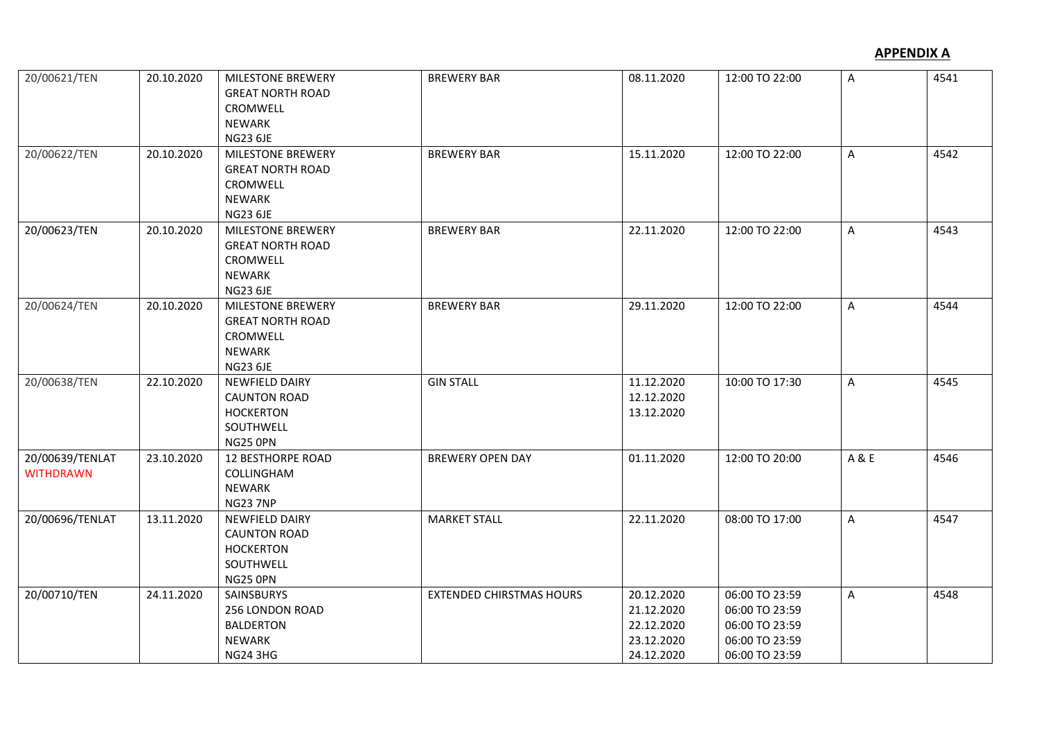## **APPENDIX A**

| 20/00621/TEN                        | 20.10.2020 | MILESTONE BREWERY<br><b>GREAT NORTH ROAD</b><br>CROMWELL<br><b>NEWARK</b><br><b>NG23 6JE</b>        | <b>BREWERY BAR</b>              | 08.11.2020                                                         | 12:00 TO 22:00                                                                         | A     | 4541 |
|-------------------------------------|------------|-----------------------------------------------------------------------------------------------------|---------------------------------|--------------------------------------------------------------------|----------------------------------------------------------------------------------------|-------|------|
| 20/00622/TEN                        | 20.10.2020 | <b>MILESTONE BREWERY</b><br><b>GREAT NORTH ROAD</b><br>CROMWELL<br><b>NEWARK</b><br><b>NG23 6JE</b> | <b>BREWERY BAR</b>              | 15.11.2020                                                         | 12:00 TO 22:00                                                                         | A     | 4542 |
| 20/00623/TEN                        | 20.10.2020 | <b>MILESTONE BREWERY</b><br><b>GREAT NORTH ROAD</b><br>CROMWELL<br><b>NEWARK</b><br><b>NG23 6JE</b> | <b>BREWERY BAR</b>              | 22.11.2020                                                         | 12:00 TO 22:00                                                                         | A     | 4543 |
| 20/00624/TEN                        | 20.10.2020 | <b>MILESTONE BREWERY</b><br><b>GREAT NORTH ROAD</b><br>CROMWELL<br><b>NEWARK</b><br><b>NG23 6JE</b> | <b>BREWERY BAR</b>              | 29.11.2020                                                         | 12:00 TO 22:00                                                                         | A     | 4544 |
| 20/00638/TEN                        | 22.10.2020 | <b>NEWFIELD DAIRY</b><br><b>CAUNTON ROAD</b><br><b>HOCKERTON</b><br>SOUTHWELL<br>NG25 OPN           | <b>GIN STALL</b>                | 11.12.2020<br>12.12.2020<br>13.12.2020                             | 10:00 TO 17:30                                                                         | A     | 4545 |
| 20/00639/TENLAT<br><b>WITHDRAWN</b> | 23.10.2020 | <b>12 BESTHORPE ROAD</b><br>COLLINGHAM<br><b>NEWARK</b><br><b>NG23 7NP</b>                          | <b>BREWERY OPEN DAY</b>         | 01.11.2020                                                         | 12:00 TO 20:00                                                                         | A & E | 4546 |
| 20/00696/TENLAT                     | 13.11.2020 | <b>NEWFIELD DAIRY</b><br><b>CAUNTON ROAD</b><br><b>HOCKERTON</b><br>SOUTHWELL<br>NG25 OPN           | <b>MARKET STALL</b>             | 22.11.2020                                                         | 08:00 TO 17:00                                                                         | A     | 4547 |
| 20/00710/TEN                        | 24.11.2020 | SAINSBURYS<br>256 LONDON ROAD<br><b>BALDERTON</b><br><b>NEWARK</b><br><b>NG24 3HG</b>               | <b>EXTENDED CHIRSTMAS HOURS</b> | 20.12.2020<br>21.12.2020<br>22.12.2020<br>23.12.2020<br>24.12.2020 | 06:00 TO 23:59<br>06:00 TO 23:59<br>06:00 TO 23:59<br>06:00 TO 23:59<br>06:00 TO 23:59 | A     | 4548 |